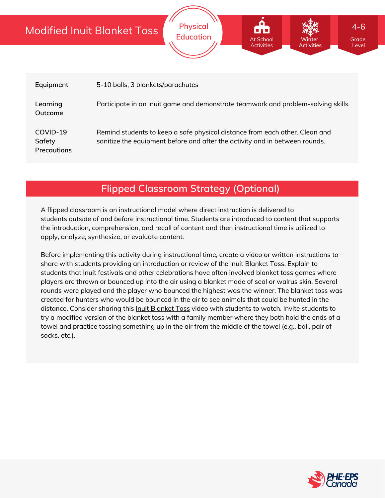# Modified Inuit Blanket Toss

| Equipment                                | 5-10 balls, 3 blankets/parachutes                                                                                                                          |
|------------------------------------------|------------------------------------------------------------------------------------------------------------------------------------------------------------|
| Learning<br>Outcome                      | Participate in an Inuit game and demonstrate teamwork and problem-solving skills.                                                                          |
| COVID-19<br>Safety<br><b>Precautions</b> | Remind students to keep a safe physical distance from each other. Clean and<br>sanitize the equipment before and after the activity and in between rounds. |

**Physical**

Education **At School Minter Structure Crade** 

At School **Activities** 

**Winter Activities**

Level

4-6

## **Flipped Classroom Strategy (Optional)**

A flipped classroom is an instructional model where direct instruction is delivered to students *outside of* and *before* instructional time. Students are introduced to content that supports the introduction, comprehension, and recall of content and then instructional time is utilized to apply, analyze, synthesize, or evaluate content.

Before implementing this activity during instructional time, create a video or written instructions to share with students providing an introduction or review of the Inuit Blanket Toss. Explain to students that Inuit festivals and other celebrations have often involved blanket toss games where players are thrown or bounced up into the air using a blanket made of seal or walrus skin. Several rounds were played and the player who bounced the highest was the winner. The blanket toss was created for hunters who would be bounced in the air to see animals that could be hunted in the distance. Consider sharing this *Inuit [Blanket](https://www.youtube.com/watch?v=89UxProKaX0) Toss* video with students to watch. Invite students to try a modified version of the blanket toss with a family member where they both hold the ends of a towel and practice tossing something up in the air from the middle of the towel (e.g., ball, pair of socks, etc.).

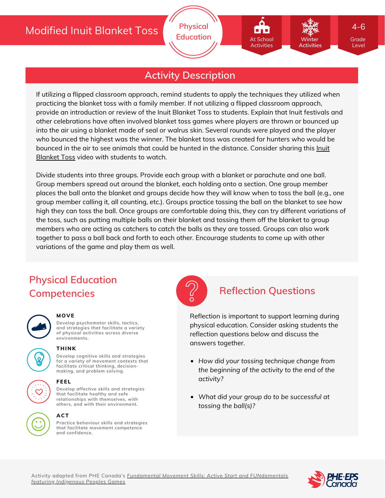# **Activity Description**

If utilizing a flipped classroom approach, remind students to apply the techniques they utilized when practicing the blanket toss with a family member. If not utilizing a flipped classroom approach, provide an introduction or review of the Inuit Blanket Toss to students. Explain that Inuit festivals and other celebrations have often involved blanket toss games where players are thrown or bounced up into the air using a blanket made of seal or walrus skin. Several rounds were played and the player who bounced the highest was the winner. The blanket toss was created for hunters who would be bounced in the air to see animals that could be hunted in the [distance.](https://www.youtube.com/watch?v=89UxProKaX0) Consider sharing this Inuit Blanket Toss video with students to watch.

Divide students into three groups. Provide each group with a blanket or parachute and one ball. Group members spread out around the blanket, each holding onto a section. One group member places the ball onto the blanket and groups decide how they will know when to toss the ball (e.g., one group member calling it, all counting, etc.). Groups practice tossing the ball on the blanket to see how high they can toss the ball. Once groups are comfortable doing this, they can try different variations of the toss, such as putting multiple balls on their blanket and tossing them off the blanket to group members who are acting as catchers to catch the balls as they are tossed. Groups can also work together to pass a ball back and forth to each other. Encourage students to come up with other variations of the game and play them as well.

# **Physical Education Competencies Reflection Questions**



#### **MOVE**

**Develop psychomotor skills, tactics, and strategies that facilitate a variety of physical activities across diverse environments.**



## **THINK**

**Develop cognitive skills and strategies for a variety of movement contexts that facilitate critical thinking, decision making, and problem solving.**



# **FEEL**

**Develop affective skills and strategies that facilitate healthy and safe relationships with themselves, with others, and with their environment.**

#### **ACT**

**Practice behaviour skills and strategies that facilitate movement competence and confidence.**



Reflection is important to support learning during physical education. Consider asking students the reflection questions below and discuss the answers together.

- *How did your tossing technique change from the beginning of the activity to the end of the activity?*
- *What did your group do to be successful at tossing the ball(s)?*





Level

4-6

**Winter Activities**

At School Activities